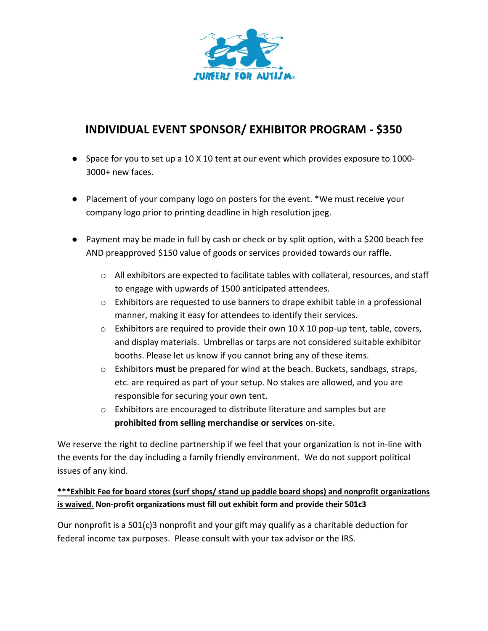

## **INDIVIDUAL EVENT SPONSOR/ EXHIBITOR PROGRAM - \$350**

- Space for you to set up a 10 X 10 tent at our event which provides exposure to 1000-3000+ new faces.
- Placement of your company logo on posters for the event. \*We must receive your company logo prior to printing deadline in high resolution jpeg.
- Payment may be made in full by cash or check or by split option, with a \$200 beach fee AND preapproved \$150 value of goods or services provided towards our raffle.
	- o All exhibitors are expected to facilitate tables with collateral, resources, and staff to engage with upwards of 1500 anticipated attendees.
	- o Exhibitors are requested to use banners to drape exhibit table in a professional manner, making it easy for attendees to identify their services.
	- o Exhibitors are required to provide their own 10 X 10 pop-up tent, table, covers, and display materials. Umbrellas or tarps are not considered suitable exhibitor booths. Please let us know if you cannot bring any of these items.
	- o Exhibitors **must** be prepared for wind at the beach. Buckets, sandbags, straps, etc. are required as part of your setup. No stakes are allowed, and you are responsible for securing your own tent.
	- o Exhibitors are encouraged to distribute literature and samples but are **prohibited from selling merchandise or services** on-site.

We reserve the right to decline partnership if we feel that your organization is not in-line with the events for the day including a family friendly environment. We do not support political issues of any kind.

## **\*\*\*Exhibit Fee for board stores (surf shops/ stand up paddle board shops) and nonprofit organizations is waived. Non-profit organizations must fill out exhibit form and provide their 501c3**

Our nonprofit is a 501(c)3 nonprofit and your gift may qualify as a charitable deduction for federal income tax purposes. Please consult with your tax advisor or the IRS.